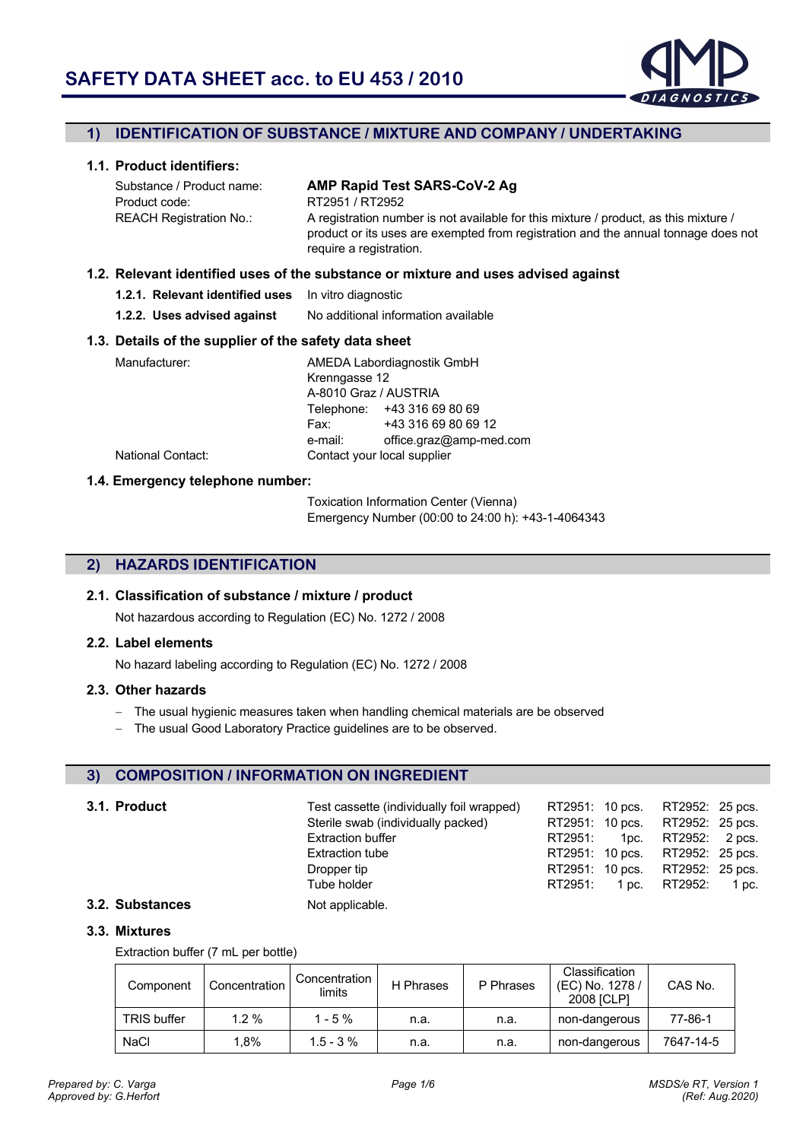

### **1) IDENTIFICATION OF SUBSTANCE / MIXTURE AND COMPANY / UNDERTAKING**

### **1.1. Product identifiers:**

Substance / Product name: **AMP Rapid Test SARS-CoV-2 Ag** Product code: RT2951 / RT2952 REACH Registration No.: A registration number is not available for this mixture / product, as this mixture / product or its uses are exempted from registration and the annual tonnage does not require a registration.

#### **1.2. Relevant identified uses of the substance or mixture and uses advised against**

| 1.2.1. Relevant identified uses  In vitro diagnostic |  |  |  |  |  |  |  |  |  |
|------------------------------------------------------|--|--|--|--|--|--|--|--|--|
|                                                      |  |  |  |  |  |  |  |  |  |

**1.2.2. Uses advised against** No additional information available

#### **1.3. Details of the supplier of the safety data sheet**

|                       | AMEDA Labordiagnostik GmbH  |
|-----------------------|-----------------------------|
| Krenngasse 12         |                             |
| A-8010 Graz / AUSTRIA |                             |
|                       | Telephone: +43 316 69 80 69 |
| Fax:                  | +43 316 69 80 69 12         |
| e-mail:               | office.graz@amp-med.com     |
|                       | Contact your local supplier |
|                       |                             |

### **1.4. Emergency telephone number:**

Toxication Information Center (Vienna) Emergency Number (00:00 to 24:00 h): +43-1-4064343

### **2) HAZARDS IDENTIFICATION**

#### **2.1. Classification of substance / mixture / product**

Not hazardous according to Regulation (EC) No. 1272 / 2008

#### **2.2. Label elements**

No hazard labeling according to Regulation (EC) No. 1272 / 2008

#### **2.3. Other hazards**

- The usual hygienic measures taken when handling chemical materials are be observed
- The usual Good Laboratory Practice guidelines are to be observed.

### **3) COMPOSITION / INFORMATION ON INGREDIENT**

### **3.1. Product** Test cassette (individually foil wrapped) RT2951: 10 pcs. RT2952: 25 pcs. Sterile swab (individually packed) RT2951: 10 pcs. RT2952: 25 pcs. Extraction buffer **Extraction** buffer **RT2951:** 1pc. RT2952: 2 pcs. Extraction tube RT2951: 10 pcs. RT2952: 25 pcs. Dropper tip **EXECUTE:** RT2951: 10 pcs. RT2952: 25 pcs.<br>
Tube holder **RT2951:** 1 pc. RT2952: 1 pc. Tube holder **RT2951:** 1 pc. RT2952: 1 pc.

#### **3.2. Substances** Not applicable.

#### **3.3. Mixtures**

Extraction buffer (7 mL per bottle)

| Component          | Concentration | Concentration I<br>limits | H Phrases | P Phrases | Classification<br>(EC) No. 1278 /<br>2008 [CLP] | CAS No.   |
|--------------------|---------------|---------------------------|-----------|-----------|-------------------------------------------------|-----------|
| <b>TRIS buffer</b> | $1.2 \%$      | $1 - 5 \%$                | n.a.      | n.a.      | non-dangerous                                   | 77-86-1   |
| <b>NaCl</b>        | $.8\%$        | $1.5 - 3 \%$              | n.a.      | n.a.      | non-dangerous                                   | 7647-14-5 |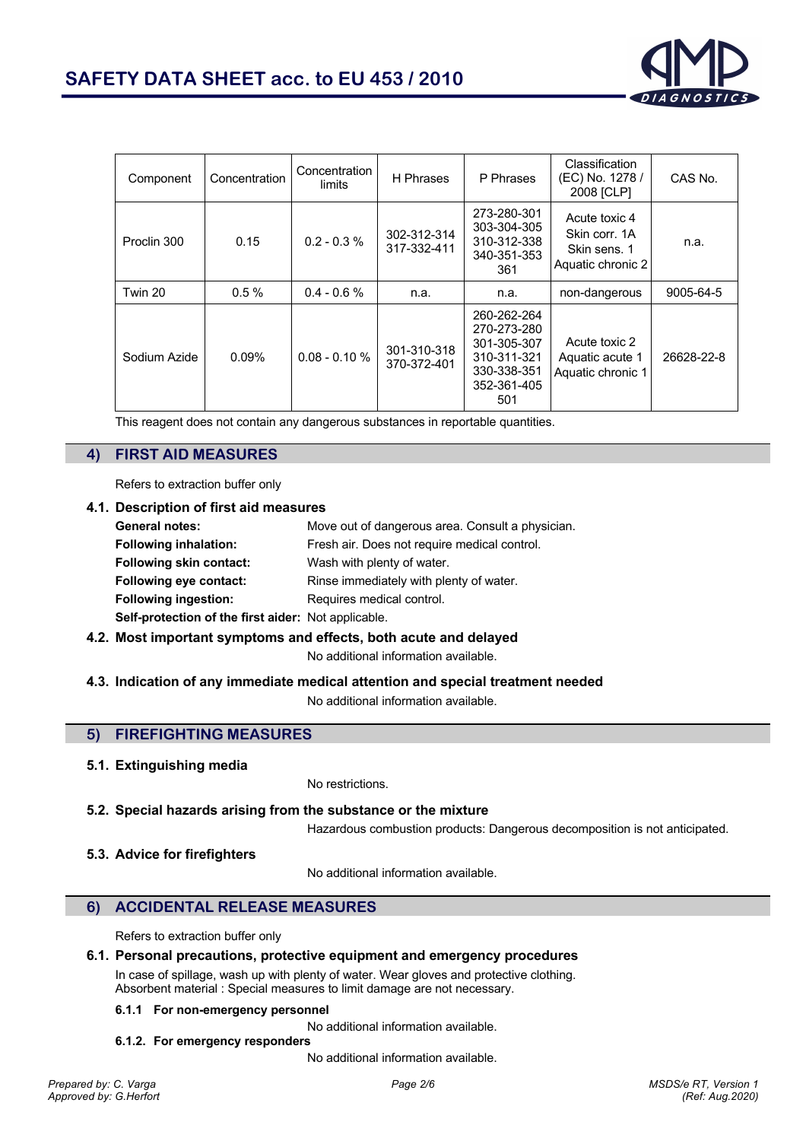

| Component    | Concentration | Concentration<br>limits | H Phrases                  | P Phrases                                                                                     | Classification<br>(EC) No. 1278 /<br>2008 [CLP]                     | CAS No.    |
|--------------|---------------|-------------------------|----------------------------|-----------------------------------------------------------------------------------------------|---------------------------------------------------------------------|------------|
| Proclin 300  | 0.15          | $0.2 - 0.3 %$           | 302-312-314<br>317-332-411 | 273-280-301<br>303-304-305<br>310-312-338<br>340-351-353<br>361                               | Acute toxic 4<br>Skin corr. 1A<br>Skin sens. 1<br>Aquatic chronic 2 | n.a.       |
| Twin 20      | 0.5%          | $0.4 - 0.6 %$           | n.a.                       | n.a.                                                                                          | non-dangerous                                                       | 9005-64-5  |
| Sodium Azide | $0.09\%$      | $0.08 - 0.10 %$         | 301-310-318<br>370-372-401 | 260-262-264<br>270-273-280<br>301-305-307<br>310-311-321<br>330-338-351<br>352-361-405<br>501 | Acute toxic 2<br>Aquatic acute 1<br>Aquatic chronic 1               | 26628-22-8 |

This reagent does not contain any dangerous substances in reportable quantities.

# **4) FIRST AID MEASURES**

Refers to extraction buffer only

#### **4.1. Description of first aid measures**

| <b>General notes:</b>                               | Move out of dangerous area. Consult a physician. |
|-----------------------------------------------------|--------------------------------------------------|
| <b>Following inhalation:</b>                        | Fresh air. Does not require medical control.     |
| <b>Following skin contact:</b>                      | Wash with plenty of water.                       |
| <b>Following eye contact:</b>                       | Rinse immediately with plenty of water.          |
| <b>Following ingestion:</b>                         | Requires medical control.                        |
| Self-protection of the first aider: Not applicable. |                                                  |
|                                                     |                                                  |

**4.2. Most important symptoms and effects, both acute and delayed**

No additional information available.

**4.3. Indication of any immediate medical attention and special treatment needed**

No additional information available.

# **5) FIREFIGHTING MEASURES**

### **5.1. Extinguishing media**

No restrictions.

**5.2. Special hazards arising from the substance or the mixture**

Hazardous combustion products: Dangerous decomposition is not anticipated.

**5.3. Advice for firefighters**

No additional information available.

# **6) ACCIDENTAL RELEASE MEASURES**

Refers to extraction buffer only

### **6.1. Personal precautions, protective equipment and emergency procedures**

In case of spillage, wash up with plenty of water. Wear gloves and protective clothing. Absorbent material : Special measures to limit damage are not necessary.

#### **6.1.1 For non-emergency personnel**

No additional information available.

**6.1.2. For emergency responders**

No additional information available.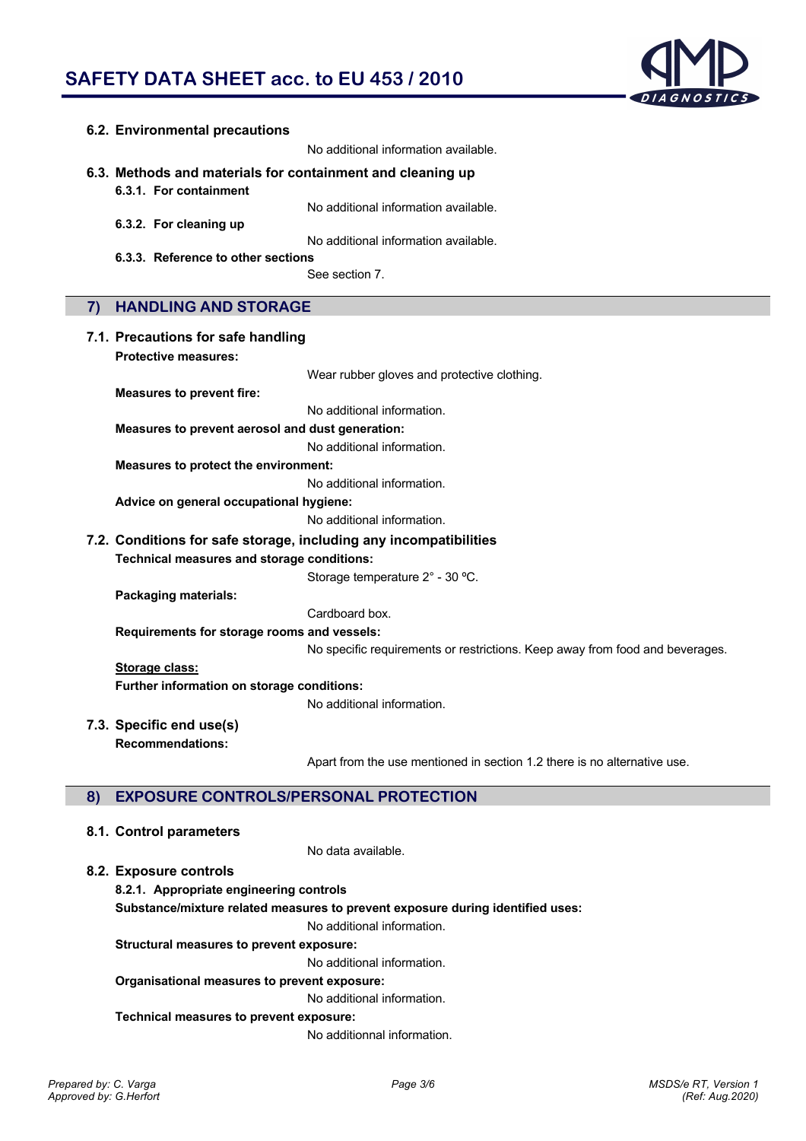

|    | 6.2. Environmental precautions                                    |                                                                              |
|----|-------------------------------------------------------------------|------------------------------------------------------------------------------|
|    |                                                                   | No additional information available.                                         |
|    | 6.3. Methods and materials for containment and cleaning up        |                                                                              |
|    | 6.3.1. For containment                                            |                                                                              |
|    |                                                                   | No additional information available.                                         |
|    | 6.3.2. For cleaning up                                            |                                                                              |
|    |                                                                   | No additional information available.                                         |
|    | 6.3.3. Reference to other sections                                | See section 7.                                                               |
|    |                                                                   |                                                                              |
| 7) | <b>HANDLING AND STORAGE</b>                                       |                                                                              |
|    |                                                                   |                                                                              |
|    | 7.1. Precautions for safe handling<br><b>Protective measures:</b> |                                                                              |
|    |                                                                   | Wear rubber gloves and protective clothing.                                  |
|    | <b>Measures to prevent fire:</b>                                  |                                                                              |
|    |                                                                   | No additional information.                                                   |
|    | Measures to prevent aerosol and dust generation:                  |                                                                              |
|    |                                                                   | No additional information.                                                   |
|    | Measures to protect the environment:                              |                                                                              |
|    |                                                                   | No additional information.                                                   |
|    | Advice on general occupational hygiene:                           |                                                                              |
|    |                                                                   | No additional information.                                                   |
|    |                                                                   | 7.2. Conditions for safe storage, including any incompatibilities            |
|    | Technical measures and storage conditions:                        |                                                                              |
|    |                                                                   | Storage temperature 2° - 30 °C.                                              |
|    | <b>Packaging materials:</b>                                       |                                                                              |
|    |                                                                   | Cardboard box.                                                               |
|    | Requirements for storage rooms and vessels:                       |                                                                              |
|    |                                                                   | No specific requirements or restrictions. Keep away from food and beverages. |
|    | Storage class:                                                    |                                                                              |
|    | Further information on storage conditions:                        | No additional information.                                                   |
|    |                                                                   |                                                                              |
|    | 7.3. Specific end use(s)                                          |                                                                              |
|    | <b>Recommendations:</b>                                           | Apart from the use mentioned in section 1.2 there is no alternative use.     |
|    |                                                                   |                                                                              |
| 8) | <b>EXPOSURE CONTROLS/PERSONAL PROTECTION</b>                      |                                                                              |
|    |                                                                   |                                                                              |
|    | 8.1. Control parameters                                           |                                                                              |
|    |                                                                   | No data available.                                                           |
|    | 8.2. Exposure controls                                            |                                                                              |
|    | 8.2.1. Appropriate engineering controls                           |                                                                              |

**Substance/mixture related measures to prevent exposure during identified uses:**

No additional information.

**Structural measures to prevent exposure:**

No additional information.

#### **Organisational measures to prevent exposure:**

No additional information.

#### **Technical measures to prevent exposure:**

No additionnal information.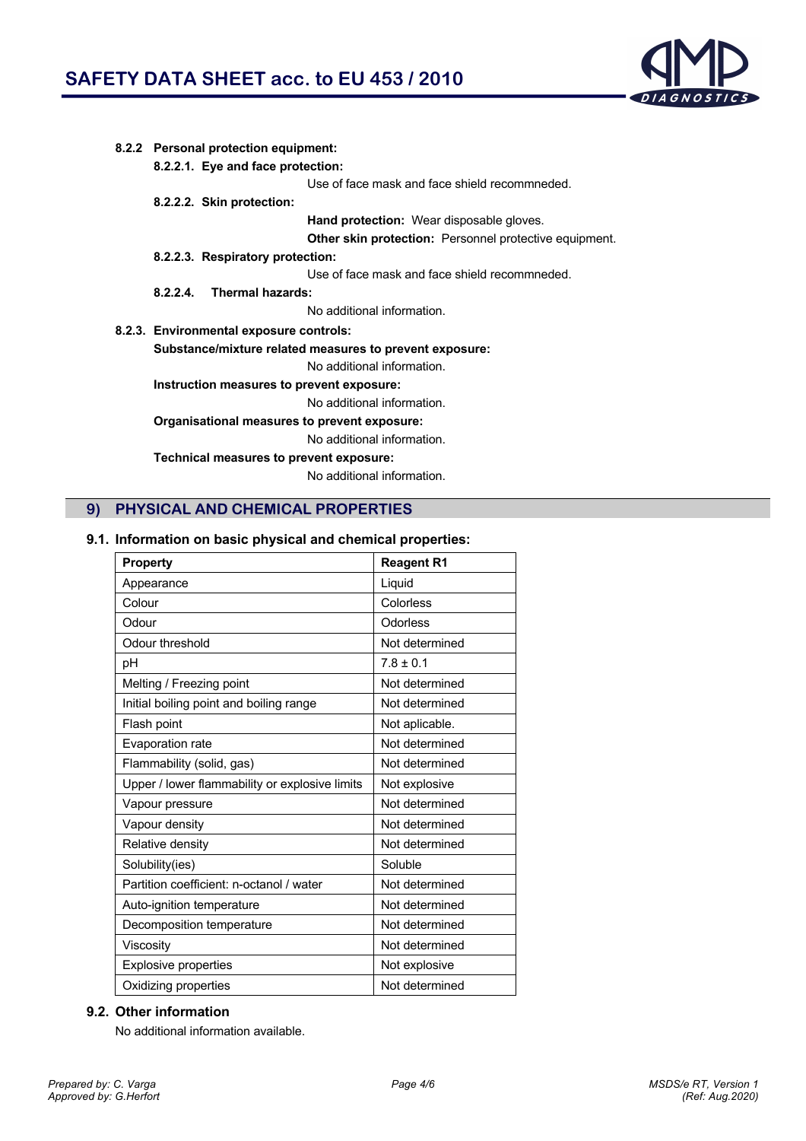

| 8.2.2 Personal protection equipment:                    |                                                               |  |  |  |
|---------------------------------------------------------|---------------------------------------------------------------|--|--|--|
| 8.2.2.1. Eye and face protection:                       |                                                               |  |  |  |
|                                                         | Use of face mask and face shield recommneded.                 |  |  |  |
| 8.2.2.2. Skin protection:                               |                                                               |  |  |  |
|                                                         | <b>Hand protection:</b> Wear disposable gloves.               |  |  |  |
|                                                         | <b>Other skin protection:</b> Personnel protective equipment. |  |  |  |
| 8.2.2.3. Respiratory protection:                        |                                                               |  |  |  |
|                                                         | Use of face mask and face shield recommneded.                 |  |  |  |
| Thermal hazards:<br>8224                                |                                                               |  |  |  |
|                                                         | No additional information.                                    |  |  |  |
| 8.2.3. Environmental exposure controls:                 |                                                               |  |  |  |
| Substance/mixture related measures to prevent exposure: |                                                               |  |  |  |
|                                                         | No additional information.                                    |  |  |  |
| Instruction measures to prevent exposure:               |                                                               |  |  |  |
|                                                         | No additional information.                                    |  |  |  |
| Organisational measures to prevent exposure:            |                                                               |  |  |  |
|                                                         | No additional information.                                    |  |  |  |
| Technical measures to prevent exposure:                 |                                                               |  |  |  |
|                                                         | No additional information.                                    |  |  |  |
|                                                         |                                                               |  |  |  |

# **9) PHYSICAL AND CHEMICAL PROPERTIES**

# **9.1. Information on basic physical and chemical properties:**

| <b>Property</b>                                | <b>Reagent R1</b> |
|------------------------------------------------|-------------------|
| Appearance                                     | Liquid            |
| Colour                                         | Colorless         |
| Odour                                          | Odorless          |
| Odour threshold                                | Not determined    |
| pH                                             | $7.8 \pm 0.1$     |
| Melting / Freezing point                       | Not determined    |
| Initial boiling point and boiling range        | Not determined    |
| Flash point                                    | Not aplicable.    |
| Evaporation rate                               | Not determined    |
| Flammability (solid, gas)                      | Not determined    |
| Upper / lower flammability or explosive limits | Not explosive     |
| Vapour pressure                                | Not determined    |
| Vapour density                                 | Not determined    |
| Relative density                               | Not determined    |
| Solubility(ies)                                | Soluble           |
| Partition coefficient: n-octanol / water       | Not determined    |
| Auto-ignition temperature                      | Not determined    |
| Decomposition temperature                      | Not determined    |
| Viscosity                                      | Not determined    |
| <b>Explosive properties</b>                    | Not explosive     |
| Oxidizing properties                           | Not determined    |

### **9.2. Other information**

No additional information available.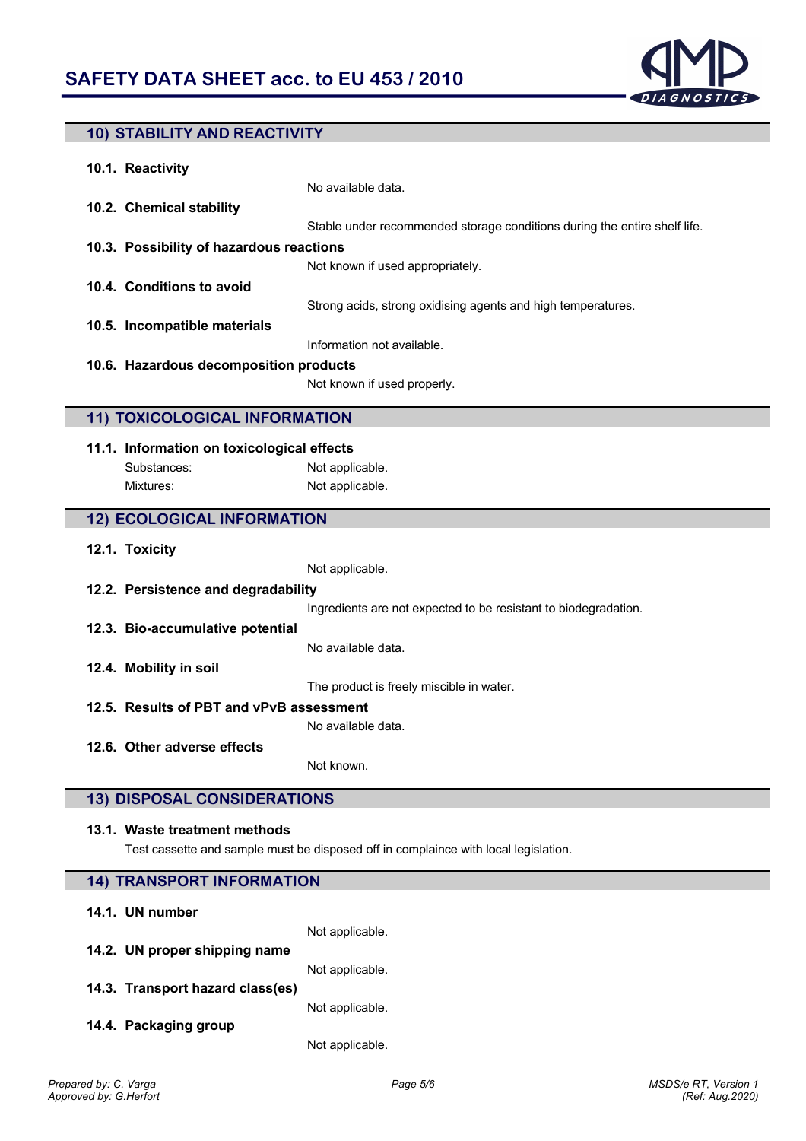

# **10) STABILITY AND REACTIVITY**

| 10.1. Reactivity                         |                                                                           |
|------------------------------------------|---------------------------------------------------------------------------|
|                                          | No available data.                                                        |
| 10.2. Chemical stability                 |                                                                           |
|                                          | Stable under recommended storage conditions during the entire shelf life. |
| 10.3. Possibility of hazardous reactions |                                                                           |
|                                          | Not known if used appropriately.                                          |
| 10.4. Conditions to avoid                |                                                                           |
|                                          | Strong acids, strong oxidising agents and high temperatures.              |
| 10.5. Incompatible materials             |                                                                           |
|                                          | Information not available.                                                |
| 10.6. Hazardous decomposition products   |                                                                           |
|                                          | Not known if used properly.                                               |
|                                          |                                                                           |

# **11) TOXICOLOGICAL INFORMATION**

### **11.1. Information on toxicological effects** Substances: Not applicable. Mixtures: Not applicable.

### **12) ECOLOGICAL INFORMATION**

**12.1. Toxicity**

Not applicable.

Ingredients are not expected to be resistant to biodegradation.

**12.3. Bio-accumulative potential**

**12.2. Persistence and degradability**

No available data.

**12.4. Mobility in soil**

The product is freely miscible in water.

**12.5. Results of PBT and vPvB assessment**

No available data.

**12.6. Other adverse effects**

Not known.

### **13) DISPOSAL CONSIDERATIONS**

#### **13.1. Waste treatment methods**

Test cassette and sample must be disposed off in complaince with local legislation.

| <b>14) TRANSPORT INFORMATION</b> |                 |  |
|----------------------------------|-----------------|--|
| 14.1. UN number                  |                 |  |
|                                  | Not applicable. |  |
| 14.2. UN proper shipping name    |                 |  |
|                                  | Not applicable. |  |
| 14.3. Transport hazard class(es) |                 |  |
|                                  | Not applicable. |  |
| 14.4. Packaging group            |                 |  |
|                                  | Not applicable. |  |